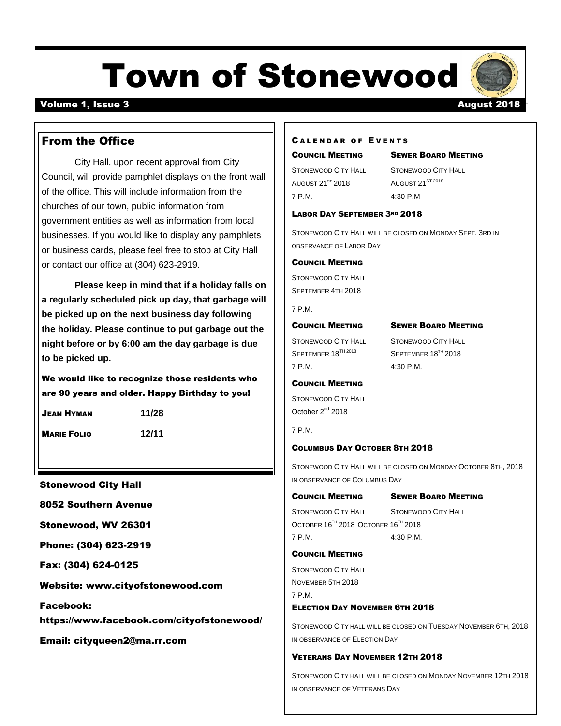# Town of Stonewood

## Volume 1, Issue 3 August 2018

### **CALENDAR OF EVENTS**

#### COUNCIL MEETING SEWER BOARD MEETING

AUGUST 21<sup>ST</sup> 2018 AUGUST 21<sup>ST 2018</sup> 7 P.M. 4:30 P.M

STONEWOOD CITY HALL STONEWOOD CITY HALL

### LABOR DAY SEPTEMBER 3RD 2018

STONEWOOD CITY HALL WILL BE CLOSED ON MONDAY SEPT. 3RD IN OBSERVANCE OF LABOR DAY

#### COUNCIL MEETING

STONEWOOD CITY HALL SEPTEMBER 4TH 2018

7 P.M.

#### COUNCIL MEETING SEWER BOARD MEETING

7 P.M. 4:30 P.M.

STONEWOOD CITY HALL STONEWOOD CITY HALL SEPTEMBER 18<sup>TH 2018</sup> SEPTEMBER 18<sup>TH</sup> 2018

#### COUNCIL MEETING

STONEWOOD CITY HALL October 2<sup>nd</sup> 2018

7 P.M.

#### COLUMBUS DAY OCTOBER 8TH 2018

STONEWOOD CITY HALL WILL BE CLOSED ON MONDAY OCTOBER 8TH, 2018 IN OBSERVANCE OF COLUMBUS DAY

#### COUNCIL MEETING SEWER BOARD MEETING

STONEWOOD CITY HALL STONEWOOD CITY HALL OCTOBER 16<sup>TH</sup> 2018 OCTOBER 16<sup>TH</sup> 2018 7 P.M. 4:30 P.M.

#### COUNCIL MEETING

STONEWOOD CITY HALL NOVEMBER 5TH 2018 7 P.M. ELECTION DAY NOVEMBER 6TH 2018

STONEWOOD CITY HALL WILL BE CLOSED ON TUESDAY NOVEMBER 6TH, 2018 IN OBSERVANCE OF ELECTION DAY

#### VETERANS DAY NOVEMBER 12TH 2018

STONEWOOD CITY HALL WILL BE CLOSED ON MONDAY NOVEMBER 12TH 2018 IN OBSERVANCE OF VETERANS DAY

## From the Office

City Hall, upon recent approval from City Council, will provide pamphlet displays on the front wall of the office. This will include information from the churches of our town, public information from government entities as well as information from local businesses. If you would like to display any pamphlets or business cards, please feel free to stop at City Hall or contact our office at (304) 623-2919.

**Please keep in mind that if a holiday falls on a regularly scheduled pick up day, that garbage will be picked up on the next business day following the holiday. Please continue to put garbage out the night before or by 6:00 am the day garbage is due to be picked up.** 

We would like to recognize those residents who are 90 years and older. Happy Birthday to you!

JEAN HYMAN **11/28**

MARIE FOLIO **12/11**

```
Stonewood City Hall
```
8052 Southern Avenue

Stonewood, WV 26301

Phone: (304) 623-2919

Fax: (304) 624-0125

Website: [www.cityofstonewood.com](http://www.cityofstonewood.com/)

Facebook: https://www.facebook.com/cityofstonewood/

Email: [cityqueen2@ma.rr.com](mailto:cityqueen2@ma.rr.com)

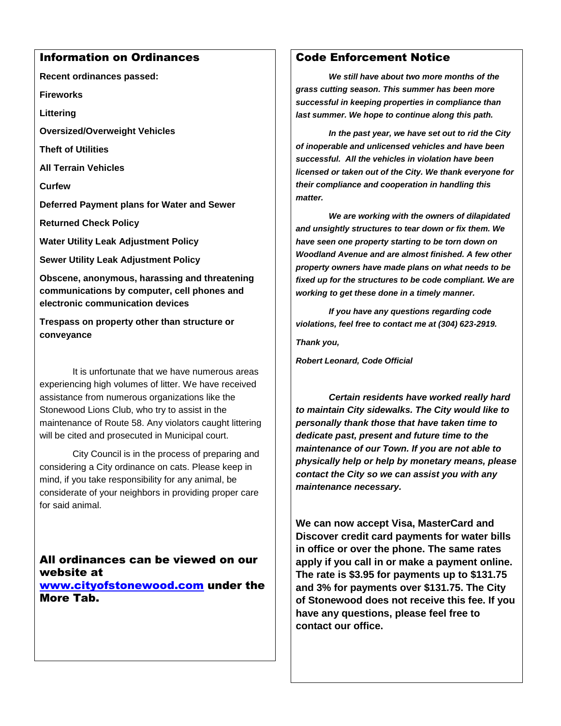## Information on Ordinances

**Recent ordinances passed:**

**Fireworks**

**Littering**

**Oversized/Overweight Vehicles**

**Theft of Utilities**

**All Terrain Vehicles**

**Curfew**

**Deferred Payment plans for Water and Sewer**

**Returned Check Policy**

**Water Utility Leak Adjustment Policy**

**Sewer Utility Leak Adjustment Policy**

**Obscene, anonymous, harassing and threatening communications by computer, cell phones and electronic communication devices**

**Trespass on property other than structure or conveyance**

It is unfortunate that we have numerous areas experiencing high volumes of litter. We have received assistance from numerous organizations like the Stonewood Lions Club, who try to assist in the maintenance of Route 58. Any violators caught littering will be cited and prosecuted in Municipal court.

City Council is in the process of preparing and considering a City ordinance on cats. Please keep in mind, if you take responsibility for any animal, be considerate of your neighbors in providing proper care for said animal.

All ordinances can be viewed on our website at [www.cityofstonewood.com](http://www.cityofstonewood.com/) under the More Tab.

## Code Enforcement Notice

*We still have about two more months of the grass cutting season. This summer has been more successful in keeping properties in compliance than last summer. We hope to continue along this path.* 

*In the past year, we have set out to rid the City of inoperable and unlicensed vehicles and have been successful. All the vehicles in violation have been licensed or taken out of the City. We thank everyone for their compliance and cooperation in handling this matter.* 

*We are working with the owners of dilapidated and unsightly structures to tear down or fix them. We have seen one property starting to be torn down on Woodland Avenue and are almost finished. A few other property owners have made plans on what needs to be fixed up for the structures to be code compliant. We are working to get these done in a timely manner.* 

*If you have any questions regarding code violations, feel free to contact me at (304) 623-2919.*

*Thank you,*

*Robert Leonard, Code Official*

*Certain residents have worked really hard to maintain City sidewalks. The City would like to personally thank those that have taken time to dedicate past, present and future time to the maintenance of our Town. If you are not able to physically help or help by monetary means, please contact the City so we can assist you with any maintenance necessary.* 

**We can now accept Visa, MasterCard and Discover credit card payments for water bills in office or over the phone. The same rates apply if you call in or make a payment online. The rate is \$3.95 for payments up to \$131.75 and 3% for payments over \$131.75. The City of Stonewood does not receive this fee. If you have any questions, please feel free to contact our office.**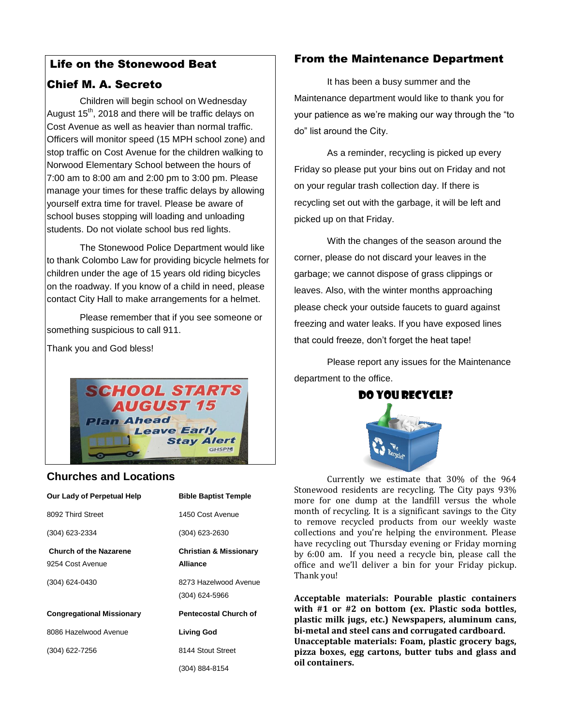## Life on the Stonewood Beat

## Chief M. A. Secreto

Children will begin school on Wednesday August  $15<sup>th</sup>$ , 2018 and there will be traffic delays on Cost Avenue as well as heavier than normal traffic. Officers will monitor speed (15 MPH school zone) and stop traffic on Cost Avenue for the children walking to Norwood Elementary School between the hours of 7:00 am to 8:00 am and 2:00 pm to 3:00 pm. Please manage your times for these traffic delays by allowing yourself extra time for travel. Please be aware of school buses stopping will loading and unloading students. Do not violate school bus red lights.

The Stonewood Police Department would like to thank Colombo Law for providing bicycle helmets for children under the age of 15 years old riding bicycles on the roadway. If you know of a child in need, please contact City Hall to make arrangements for a helmet.

Please remember that if you see someone or something suspicious to call 911.

Thank you and God bless!



## **Churches and Locations**

| Our Lady of Perpetual Help                        | <b>Bible Baptist Temple</b>                          |
|---------------------------------------------------|------------------------------------------------------|
| 8092 Third Street                                 | 1450 Cost Avenue                                     |
| (304) 623-2334                                    | (304) 623-2630                                       |
| <b>Church of the Nazarene</b><br>9254 Cost Avenue | <b>Christian &amp; Missionary</b><br><b>Alliance</b> |
| (304) 624-0430                                    | 8273 Hazelwood Avenue<br>$(304)$ 624-5966            |
| <b>Congregational Missionary</b>                  | <b>Pentecostal Church of</b>                         |
| 8086 Hazelwood Avenue                             | <b>Living God</b>                                    |
| (304) 622-7256                                    | 8144 Stout Street                                    |
|                                                   | (304) 884-8154                                       |

## From the Maintenance Department

It has been a busy summer and the Maintenance department would like to thank you for your patience as we're making our way through the "to do" list around the City.

As a reminder, recycling is picked up every Friday so please put your bins out on Friday and not on your regular trash collection day. If there is recycling set out with the garbage, it will be left and picked up on that Friday.

With the changes of the season around the corner, please do not discard your leaves in the garbage; we cannot dispose of grass clippings or leaves. Also, with the winter months approaching please check your outside faucets to guard against freezing and water leaks. If you have exposed lines that could freeze, don't forget the heat tape!

Please report any issues for the Maintenance department to the office.



Currently we estimate that 30% of the 964 Stonewood residents are recycling. The City pays 93% more for one dump at the landfill versus the whole month of recycling. It is a significant savings to the City to remove recycled products from our weekly waste collections and you're helping the environment. Please have recycling out Thursday evening or Friday morning by 6:00 am. If you need a recycle bin, please call the office and we'll deliver a bin for your Friday pickup. Thank you!

**Acceptable materials: Pourable plastic containers with #1 or #2 on bottom (ex. Plastic soda bottles, plastic milk jugs, etc.) Newspapers, aluminum cans, bi-metal and steel cans and corrugated cardboard. Unacceptable materials: Foam, plastic grocery bags, pizza boxes, egg cartons, butter tubs and glass and oil containers.**